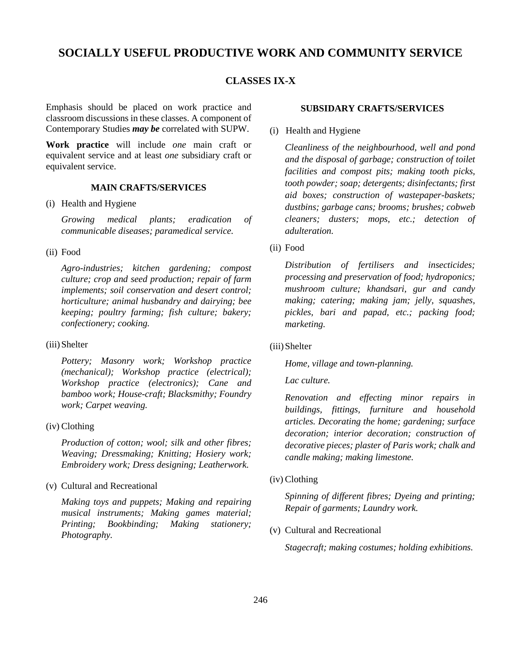## **SOCIALLY USEFUL PRODUCTIVE WORK AND COMMUNITY SERVICE**

## **CLASSES IX-X**

Emphasis should be placed on work practice and classroom discussions in these classes. A component of Contemporary Studies *may be* correlated with SUPW.

**Work practice** will include *one* main craft or equivalent service and at least *one* subsidiary craft or equivalent service.

## **MAIN CRAFTS/SERVICES**

(i) Health and Hygiene

*Growing medical plants; eradication of communicable diseases; paramedical service.*

(ii) Food

*Agro-industries; kitchen gardening; compost culture; crop and seed production; repair of farm implements; soil conservation and desert control; horticulture; animal husbandry and dairying; bee keeping; poultry farming; fish culture; bakery; confectionery; cooking.*

#### (iii) Shelter

*Pottery; Masonry work; Workshop practice (mechanical); Workshop practice (electrical); Workshop practice (electronics); Cane and bamboo work; House-craft; Blacksmithy; Foundry work; Carpet weaving.*

#### (iv) Clothing

*Production of cotton; wool; silk and other fibres; Weaving; Dressmaking; Knitting; Hosiery work; Embroidery work; Dress designing; Leatherwork.*

(v) Cultural and Recreational

*Making toys and puppets; Making and repairing musical instruments; Making games material; Printing; Bookbinding; Making stationery; Photography.*

#### **SUBSIDARY CRAFTS/SERVICES**

(i) Health and Hygiene

*Cleanliness of the neighbourhood, well and pond and the disposal of garbage; construction of toilet facilities and compost pits; making tooth picks, tooth powder; soap; detergents; disinfectants; first aid boxes; construction of wastepaper-baskets; dustbins; garbage cans; brooms; brushes; cobweb cleaners; dusters; mops, etc.; detection of adulteration.*

(ii) Food

*Distribution of fertilisers and insecticides; processing and preservation of food; hydroponics; mushroom culture; khandsari, gur and candy making; catering; making jam; jelly, squashes, pickles, bari and papad, etc.; packing food; marketing.*

(iii)Shelter

*Home, village and town-planning.*

*Lac culture.*

*Renovation and effecting minor repairs in buildings, fittings, furniture and household articles. Decorating the home; gardening; surface decoration; interior decoration; construction of decorative pieces; plaster of Paris work; chalk and candle making; making limestone.*

(iv) Clothing

*Spinning of different fibres; Dyeing and printing; Repair of garments; Laundry work.*

(v) Cultural and Recreational

*Stagecraft; making costumes; holding exhibitions.*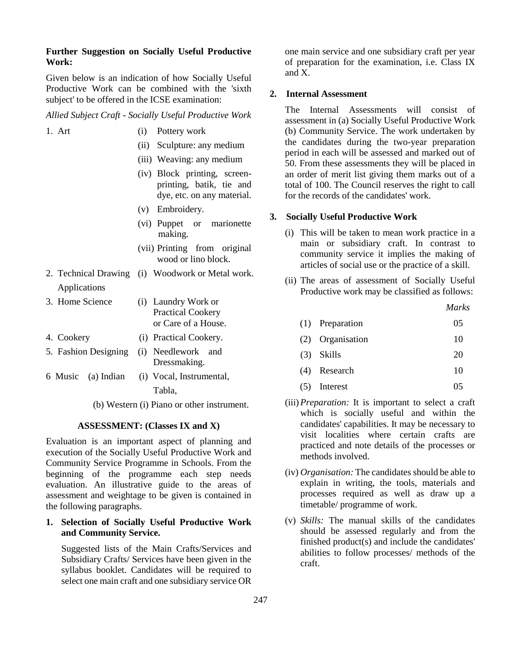#### **Further Suggestion on Socially Useful Productive Work:**

Given below is an indication of how Socially Useful Productive Work can be combined with the 'sixth subject' to be offered in the ICSE examination:

#### *Allied Subject Craft - Socially Useful Productive Work*

| 1. Art | (i) Pottery work                                                                       |
|--------|----------------------------------------------------------------------------------------|
|        | (ii) Sculpture: any medium                                                             |
|        | (iii) Weaving: any medium                                                              |
|        | (iv) Block printing, screen-<br>printing, batik, tie and<br>dye, etc. on any material. |
|        | (v) Embroidery.                                                                        |

- (vi) Puppet or marionette making.
- (vii) Printing from original wood or lino block.
- 2. Technical Drawing (i) Woodwork or Metal work. Applications
- 3. Home Science (i) Laundry Work or Practical Cookery or Care of a House.
- 4. Cookery (i) Practical Cookery.
- 5. Fashion Designing (i) Needlework and
- 6 Music (a) Indian (i) Vocal, Instrumental,

Tabla,

(b) Western (i) Piano or other instrument.

Dressmaking.

#### **ASSESSMENT: (Classes IX and X)**

Evaluation is an important aspect of planning and execution of the Socially Useful Productive Work and Community Service Programme in Schools. From the beginning of the programme each step needs evaluation. An illustrative guide to the areas of assessment and weightage to be given is contained in the following paragraphs.

## **1. Selection of Socially Useful Productive Work and Community Service.**

Suggested lists of the Main Crafts/Services and Subsidiary Crafts/ Services have been given in the syllabus booklet. Candidates will be required to select one main craft and one subsidiary service OR one main service and one subsidiary craft per year of preparation for the examination, i.e. Class IX and X.

#### **2. Internal Assessment**

The Internal Assessments will consist of assessment in (a) Socially Useful Productive Work (b) Community Service. The work undertaken by the candidates during the two-year preparation period in each will be assessed and marked out of 50. From these assessments they will be placed in an order of merit list giving them marks out of a total of 100. The Council reserves the right to call for the records of the candidates' work.

#### **3. Socially Useful Productive Work**

- (i) This will be taken to mean work practice in a main or subsidiary craft. In contrast to community service it implies the making of articles of social use or the practice of a skill.
- (ii) The areas of assessment of Socially Useful Productive work may be classified as follows:

| (1) Preparation |  |
|-----------------|--|
|-----------------|--|

- (2) Organisation 10
- (3) Skills 20
- (4) Research 10
- $(5)$  Interest  $05$
- (iii)*Preparation:* It is important to select a craft which is socially useful and within the candidates' capabilities. It may be necessary to visit localities where certain crafts are practiced and note details of the processes or methods involved.
- (iv) *Organisation:* The candidates should be able to explain in writing, the tools, materials and processes required as well as draw up a timetable/ programme of work.
- (v) *Skills:* The manual skills of the candidates should be assessed regularly and from the finished product(s) and include the candidates' abilities to follow processes/ methods of the craft.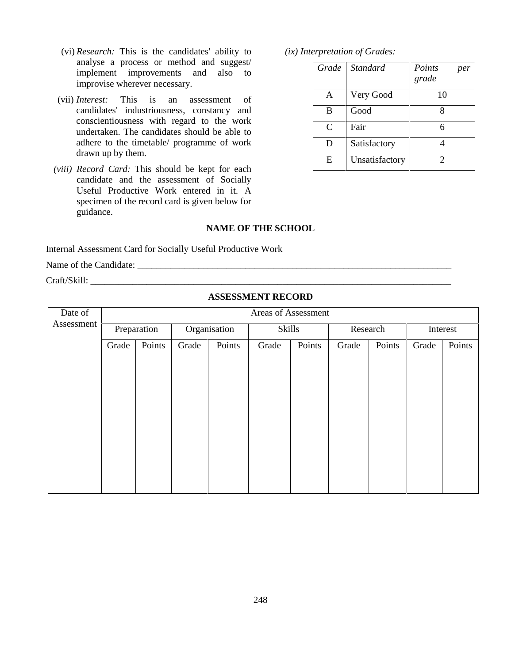- (vi) *Research:* This is the candidates' ability to analyse a process or method and suggest/ implement improvements and also to improvise wherever necessary.
- (vii) *Interest:* This is an assessment of candidates' industriousness, constancy and conscientiousness with regard to the work undertaken. The candidates should be able to adhere to the timetable/ programme of work drawn up by them.
- *(viii) Record Card:* This should be kept for each candidate and the assessment of Socially Useful Productive Work entered in it. A specimen of the record card is given below for guidance.

*(ix) Interpretation of Grades:*

| <b>Grade</b> | <b>Standard</b> | Points<br>per<br>grade |
|--------------|-----------------|------------------------|
| A            | Very Good       | 10                     |
| B            | Good            |                        |
| C            | Fair            |                        |
| D            | Satisfactory    |                        |
| E            | Unsatisfactory  |                        |

### **NAME OF THE SCHOOL**

Internal Assessment Card for Socially Useful Productive Work

Name of the Candidate: \_\_\_\_\_\_\_\_\_\_\_\_\_\_\_\_\_\_\_\_\_\_\_\_\_\_\_\_\_\_\_\_\_\_\_\_\_\_\_\_\_\_\_\_\_\_\_\_\_\_\_\_\_\_\_\_\_\_\_\_\_\_\_\_\_\_\_

Craft/Skill: \_\_\_\_\_\_\_\_\_\_\_\_\_\_\_\_\_\_\_\_\_\_\_\_\_\_\_\_\_\_\_\_\_\_\_\_\_\_\_\_\_\_\_\_\_\_\_\_\_\_\_\_\_\_\_\_\_\_\_\_\_\_\_\_\_\_\_\_\_\_\_\_\_\_\_\_\_

### **ASSESSMENT RECORD**

| Date of    | Areas of Assessment |        |              |        |        |        |          |        |          |        |
|------------|---------------------|--------|--------------|--------|--------|--------|----------|--------|----------|--------|
| Assessment | Preparation         |        | Organisation |        | Skills |        | Research |        | Interest |        |
|            | Grade               | Points | Grade        | Points | Grade  | Points | Grade    | Points | Grade    | Points |
|            |                     |        |              |        |        |        |          |        |          |        |
|            |                     |        |              |        |        |        |          |        |          |        |
|            |                     |        |              |        |        |        |          |        |          |        |
|            |                     |        |              |        |        |        |          |        |          |        |
|            |                     |        |              |        |        |        |          |        |          |        |
|            |                     |        |              |        |        |        |          |        |          |        |
|            |                     |        |              |        |        |        |          |        |          |        |
|            |                     |        |              |        |        |        |          |        |          |        |
|            |                     |        |              |        |        |        |          |        |          |        |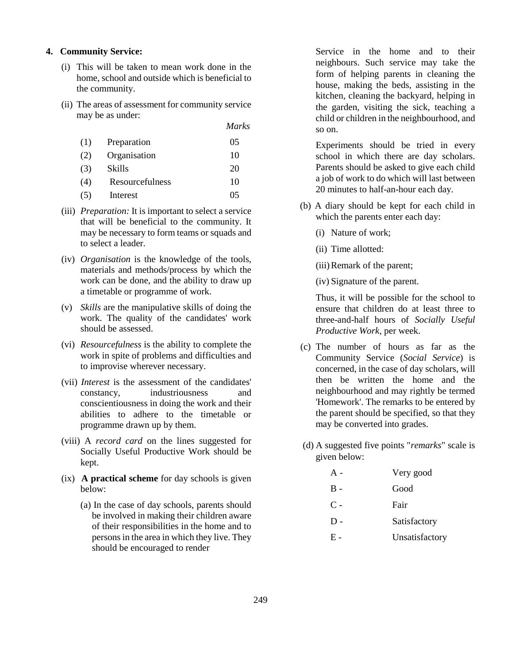#### **4. Community Service:**

- (i) This will be taken to mean work done in the home, school and outside which is beneficial to the community.
- (ii) The areas of assessment for community service may be as under:

*Marks*

| (1) | Preparation     | 05 |
|-----|-----------------|----|
| (2) | Organisation    | 10 |
| (3) | Skills          | 20 |
| (4) | Resourcefulness | 10 |
| (5) | Interest        | 05 |

- (iii) *Preparation:* It is important to select a service that will be beneficial to the community. It may be necessary to form teams or squads and to select a leader.
- (iv) *Organisation* is the knowledge of the tools, materials and methods/process by which the work can be done, and the ability to draw up a timetable or programme of work.
- (v) *Skills* are the manipulative skills of doing the work. The quality of the candidates' work should be assessed.
- (vi) *Resourcefulness* is the ability to complete the work in spite of problems and difficulties and to improvise wherever necessary.
- (vii) *Interest* is the assessment of the candidates' constancy, industriousness and conscientiousness in doing the work and their abilities to adhere to the timetable or programme drawn up by them.
- (viii) A *record card* on the lines suggested for Socially Useful Productive Work should be kept.
- (ix) **A practical scheme** for day schools is given below:
	- (a) In the case of day schools, parents should be involved in making their children aware of their responsibilities in the home and to persons in the area in which they live. They should be encouraged to render

Service in the home and to their neighbours. Such service may take the form of helping parents in cleaning the house, making the beds, assisting in the kitchen, cleaning the backyard, helping in the garden, visiting the sick, teaching a child or children in the neighbourhood, and so on.

Experiments should be tried in every school in which there are day scholars. Parents should be asked to give each child a job of work to do which will last between 20 minutes to half-an-hour each day.

- (b) A diary should be kept for each child in which the parents enter each day:
	- (i) Nature of work;
	- (ii) Time allotted:
	- (iii)Remark of the parent;

(iv) Signature of the parent.

Thus, it will be possible for the school to ensure that children do at least three to three-and-half hours of *Socially Useful Productive Work*, per week.

- (c) The number of hours as far as the Community Service (*Social Service*) is concerned, in the case of day scholars, will then be written the home and the neighbourhood and may rightly be termed 'Homework'. The remarks to be entered by the parent should be specified, so that they may be converted into grades.
- (d) A suggested five points "*remarks*" scale is given below:

| A -   | Very good      |
|-------|----------------|
| $B -$ | Good           |
| $C -$ | Fair           |
| $D -$ | Satisfactory   |
| F -   | Unsatisfactory |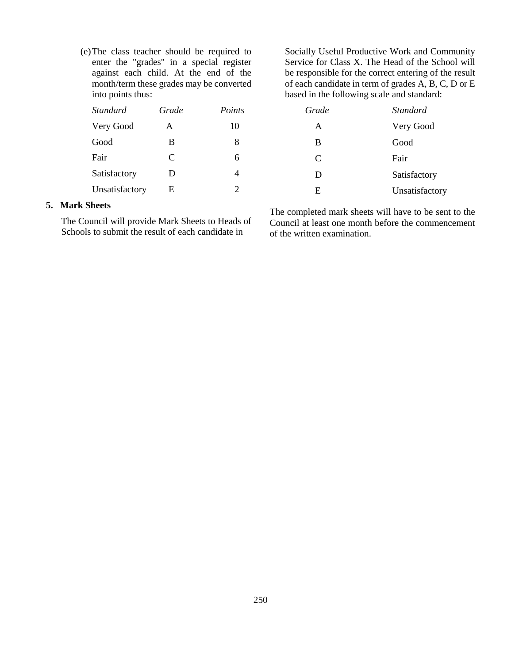(e)The class teacher should be required to enter the "grades" in a special register against each child. At the end of the month/term these grades may be converted into points thus:

| <i>Standard</i> | Grade | Points |
|-----------------|-------|--------|
| Very Good       | A     | 10     |
| Good            | B     | 8      |
| Fair            | C     | 6      |
| Satisfactory    | Ð     | 4      |
| Unsatisfactory  | E     | 2      |

Socially Useful Productive Work and Community Service for Class X. The Head of the School will be responsible for the correct entering of the result of each candidate in term of grades A, B, C, D or E based in the following scale and standard:

| Grade | <i>Standard</i> |
|-------|-----------------|
| A     | Very Good       |
| B     | Good            |
| C     | Fair            |
| D     | Satisfactory    |
| E     | Unsatisfactory  |

## **5. Mark Sheets**

The Council will provide Mark Sheets to Heads of Schools to submit the result of each candidate in

The completed mark sheets will have to be sent to the Council at least one month before the commencement of the written examination.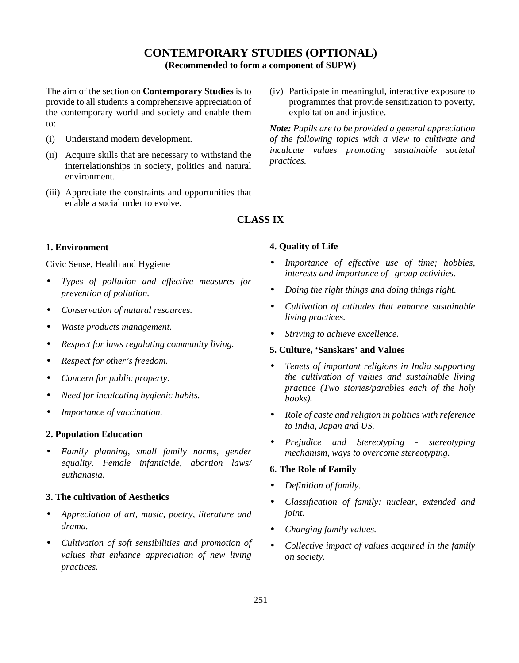# **CONTEMPORARY STUDIES (OPTIONAL)**

**(Recommended to form a component of SUPW)**

The aim of the section on **Contemporary Studies** is to provide to all students a comprehensive appreciation of the contemporary world and society and enable them to:

- (i) Understand modern development.
- (ii) Acquire skills that are necessary to withstand the interrelationships in society, politics and natural environment.
- (iii) Appreciate the constraints and opportunities that enable a social order to evolve.

(iv) Participate in meaningful, interactive exposure to programmes that provide sensitization to poverty, exploitation and injustice.

*Note: Pupils are to be provided a general appreciation of the following topics with a view to cultivate and inculcate values promoting sustainable societal practices.*

## **CLASS IX**

#### **1. Environment**

Civic Sense, Health and Hygiene

- *Types of pollution and effective measures for prevention of pollution.*
- *Conservation of natural resources.*
- *Waste products management.*
- *Respect for laws regulating community living.*
- *Respect for other's freedom.*
- *Concern for public property.*
- *Need for inculcating hygienic habits.*
- *Importance of vaccination.*

### **2. Population Education**

 *Family planning, small family norms, gender equality. Female infanticide, abortion laws/ euthanasia.*

## **3. The cultivation of Aesthetics**

- *Appreciation of art, music, poetry, literature and drama.*
- *Cultivation of soft sensibilities and promotion of values that enhance appreciation of new living practices.*

#### **4. Quality of Life**

- *Importance of effective use of time; hobbies, interests and importance of group activities.*
- *Doing the right things and doing things right.*
- *Cultivation of attitudes that enhance sustainable living practices.*
- *Striving to achieve excellence.*
- **5. Culture, 'Sanskars' and Values**
- *Tenets of important religions in India supporting the cultivation of values and sustainable living practice (Two stories/parables each of the holy books).*
- *Role of caste and religion in politics with reference to India, Japan and US.*
- *Prejudice and Stereotyping - stereotyping mechanism, ways to overcome stereotyping.*

#### **6. The Role of Family**

- *Definition of family.*
- *Classification of family: nuclear, extended and joint.*
- *Changing family values.*
- *Collective impact of values acquired in the family on society.*